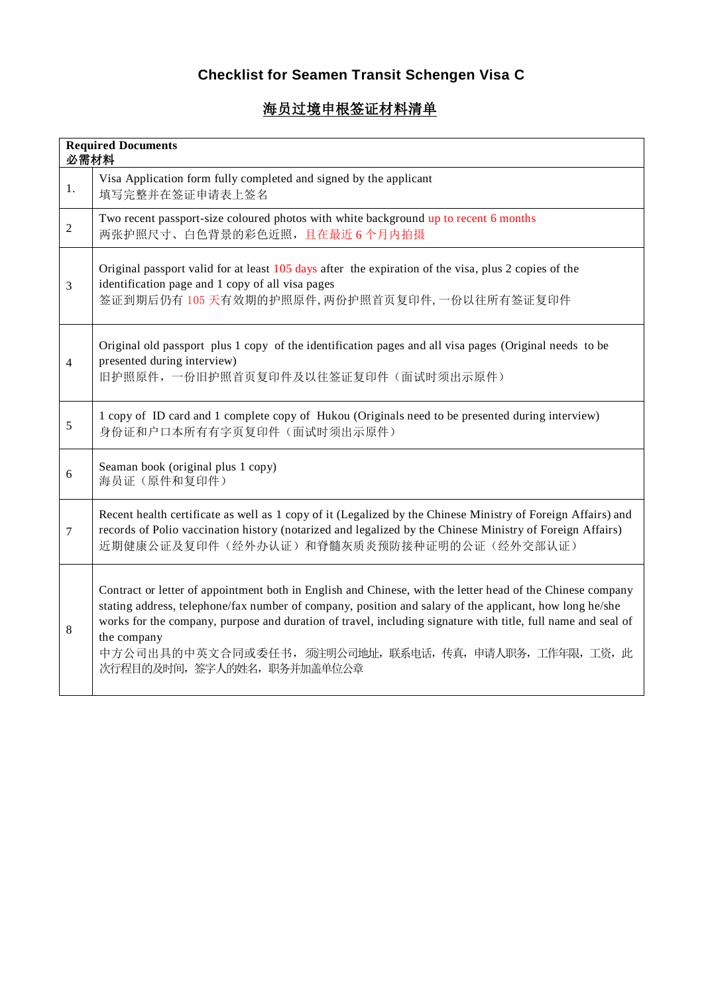## **Checklist for Seamen Transit Schengen Visa C**

## 海员过境申根签证材料清单

| <b>Required Documents</b><br>必需材料 |                                                                                                                                                                                                                                                                                                                                                                                                                                         |
|-----------------------------------|-----------------------------------------------------------------------------------------------------------------------------------------------------------------------------------------------------------------------------------------------------------------------------------------------------------------------------------------------------------------------------------------------------------------------------------------|
| 1.                                | Visa Application form fully completed and signed by the applicant<br>填写完整并在签证申请表上签名                                                                                                                                                                                                                                                                                                                                                     |
| $\overline{c}$                    | Two recent passport-size coloured photos with white background up to recent 6 months<br>两张护照尺寸、白色背景的彩色近照,且在最近6个月内拍摄                                                                                                                                                                                                                                                                                                                     |
| 3                                 | Original passport valid for at least 105 days after the expiration of the visa, plus 2 copies of the<br>identification page and 1 copy of all visa pages<br>签证到期后仍有105天有效期的护照原件,两份护照首页复印件,一份以往所有签证复印件                                                                                                                                                                                                                                   |
| $\overline{4}$                    | Original old passport plus 1 copy of the identification pages and all visa pages (Original needs to be<br>presented during interview)<br>旧护照原件,一份旧护照首页复印件及以往签证复印件(面试时须出示原件)                                                                                                                                                                                                                                                             |
| 5                                 | 1 copy of ID card and 1 complete copy of Hukou (Originals need to be presented during interview)<br>身份证和户口本所有有字页复印件(面试时须出示原件)                                                                                                                                                                                                                                                                                                           |
| 6                                 | Seaman book (original plus 1 copy)<br>海员证(原件和复印件)                                                                                                                                                                                                                                                                                                                                                                                       |
| 7                                 | Recent health certificate as well as 1 copy of it (Legalized by the Chinese Ministry of Foreign Affairs) and<br>records of Polio vaccination history (notarized and legalized by the Chinese Ministry of Foreign Affairs)<br>近期健康公证及复印件(经外办认证)和脊髓灰质炎预防接种证明的公证(经外交部认证)                                                                                                                                                                   |
| 8                                 | Contract or letter of appointment both in English and Chinese, with the letter head of the Chinese company<br>stating address, telephone/fax number of company, position and salary of the applicant, how long he/she<br>works for the company, purpose and duration of travel, including signature with title, full name and seal of<br>the company<br>中方公司出具的中英文合同或委任书,须注明公司地址,联系电话,传真,申请人职务,工作年限,工资,此<br>次行程目的及时间, 签字人的姓名, 职务并加盖单位公章 |